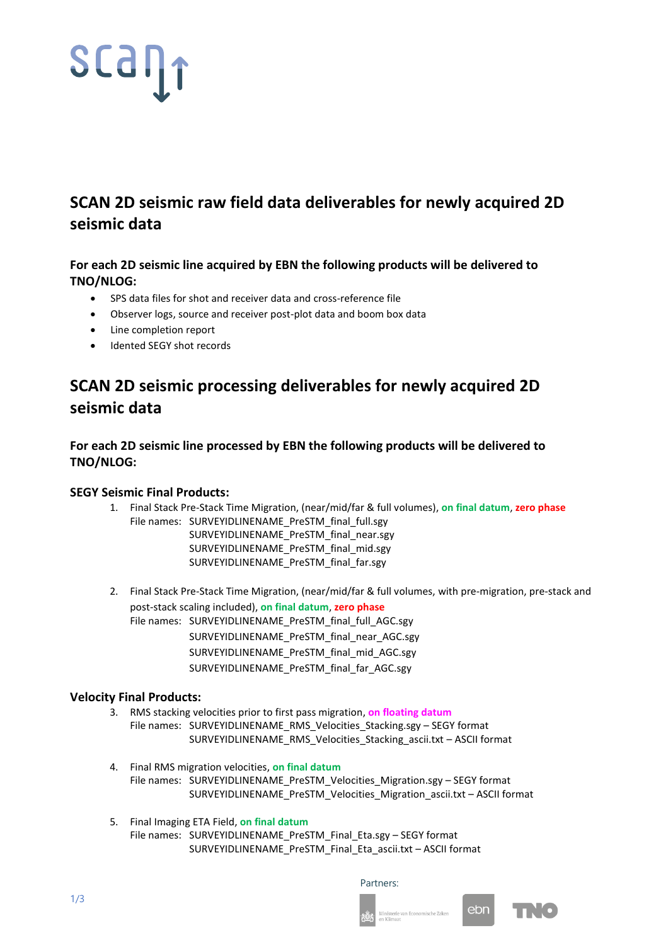## $\textsf{SCa} \eta_{\textsf{T}}$

## **SCAN 2D seismic raw field data deliverables for newly acquired 2D seismic data**

#### **For each 2D seismic line acquired by EBN the following products will be delivered to TNO/NLOG:**

- SPS data files for shot and receiver data and cross-reference file
- Observer logs, source and receiver post-plot data and boom box data
- Line completion report
- Idented SEGY shot records

### **SCAN 2D seismic processing deliverables for newly acquired 2D seismic data**

**For each 2D seismic line processed by EBN the following products will be delivered to TNO/NLOG:**

#### **SEGY Seismic Final Products:**

- 1. Final Stack Pre-Stack Time Migration, (near/mid/far & full volumes), **on final datum**, **zero phase**
	- File names: SURVEYIDLINENAME\_PreSTM\_final\_full.sgy SURVEYIDLINENAME\_PreSTM\_final\_near.sgy SURVEYIDLINENAME\_PreSTM\_final\_mid.sgy SURVEYIDLINENAME\_PreSTM\_final\_far.sgy
- 2. Final Stack Pre-Stack Time Migration, (near/mid/far & full volumes, with pre-migration, pre-stack and post-stack scaling included), **on final datum**, **zero phase** File names: SURVEYIDLINENAME\_PreSTM\_final\_full\_AGC.sgy SURVEYIDLINENAME\_PreSTM\_final\_near\_AGC.sgy SURVEYIDLINENAME\_PreSTM\_final\_mid\_AGC.sgy SURVEYIDLINENAME\_PreSTM\_final\_far\_AGC.sgy

#### **Velocity Final Products:**

- 3. RMS stacking velocities prior to first pass migration, **on floating datum** File names: SURVEYIDLINENAME\_RMS\_Velocities\_Stacking.sgy – SEGY format SURVEYIDLINENAME\_RMS\_Velocities\_Stacking\_ascii.txt – ASCII format
- 4. Final RMS migration velocities, **on final datum** File names: SURVEYIDLINENAME\_PreSTM\_Velocities\_Migration.sgy – SEGY format SURVEYIDLINENAME\_PreSTM\_Velocities\_Migration\_ascii.txt – ASCII format
- 5. Final Imaging ETA Field, **on final datum** File names: SURVEYIDLINENAME\_PreSTM\_Final\_Eta.sgy – SEGY format SURVEYIDLINENAME\_PreSTM\_Final\_Eta\_ascii.txt – ASCII format





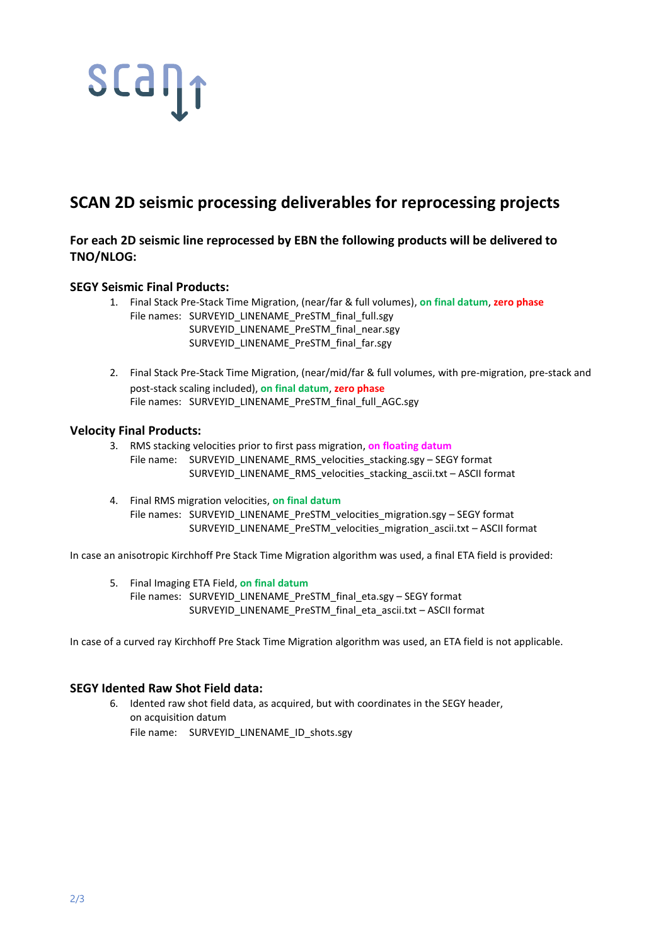# scant

### **SCAN 2D seismic processing deliverables for reprocessing projects**

#### **For each 2D seismic line reprocessed by EBN the following products will be delivered to TNO/NLOG:**

#### **SEGY Seismic Final Products:**

- 1. Final Stack Pre-Stack Time Migration, (near/far & full volumes), **on final datum**, **zero phase** File names: SURVEYID\_LINENAME\_PreSTM\_final\_full.sgy SURVEYID\_LINENAME\_PreSTM\_final\_near.sgy SURVEYID\_LINENAME\_PreSTM\_final\_far.sgy
- 2. Final Stack Pre-Stack Time Migration, (near/mid/far & full volumes, with pre-migration, pre-stack and post-stack scaling included), **on final datum**, **zero phase** File names: SURVEYID\_LINENAME\_PreSTM\_final\_full\_AGC.sgy

#### **Velocity Final Products:**

- 3. RMS stacking velocities prior to first pass migration, **on floating datum** File name: SURVEYID\_LINENAME\_RMS\_velocities\_stacking.sgy – SEGY format SURVEYID\_LINENAME\_RMS\_velocities\_stacking\_ascii.txt – ASCII format
- 4. Final RMS migration velocities, **on final datum** File names: SURVEYID\_LINENAME\_PreSTM\_velocities\_migration.sgy – SEGY format SURVEYID\_LINENAME\_PreSTM\_velocities\_migration\_ascii.txt – ASCII format

In case an anisotropic Kirchhoff Pre Stack Time Migration algorithm was used, a final ETA field is provided:

5. Final Imaging ETA Field, **on final datum** File names: SURVEYID\_LINENAME\_PreSTM\_final\_eta.sgy - SEGY format SURVEYID\_LINENAME\_PreSTM\_final\_eta\_ascii.txt – ASCII format

In case of a curved ray Kirchhoff Pre Stack Time Migration algorithm was used, an ETA field is not applicable.

#### **SEGY Idented Raw Shot Field data:**

6. Idented raw shot field data, as acquired, but with coordinates in the SEGY header, on acquisition datum File name: SURVEYID\_LINENAME\_ID\_shots.sgy